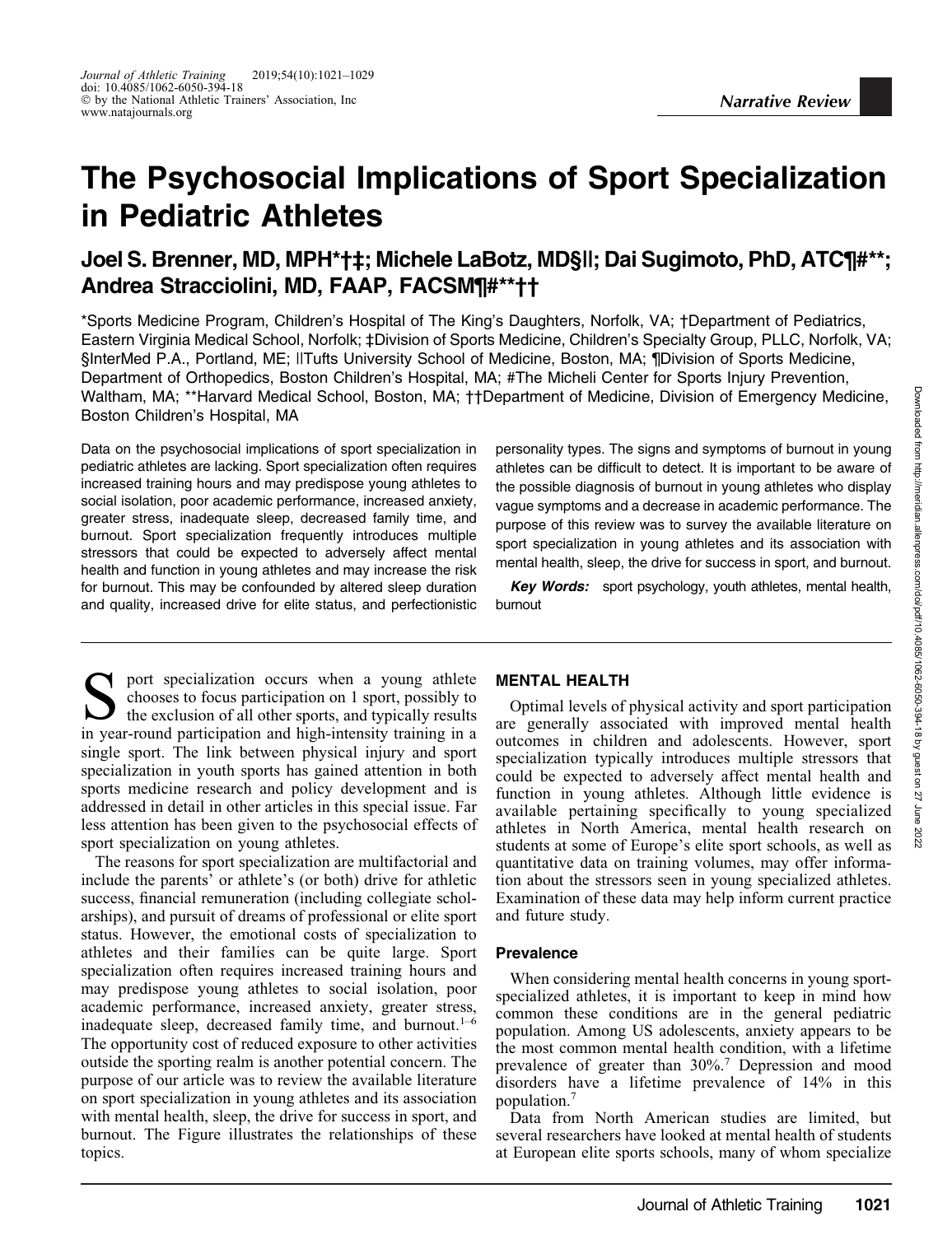# The Psychosocial Implications of Sport Specialization in Pediatric Athletes

# Joel S. Brenner, MD, MPH\*†‡; Michele LaBotz, MD§||; Dai Sugimoto, PhD, ATC¶#\*\*; Andrea Stracciolini, MD, FAAP, FACSM¶#\*\*††

\*Sports Medicine Program, Children's Hospital of The King's Daughters, Norfolk, VA; †Department of Pediatrics, Eastern Virginia Medical School, Norfolk; ‡Division of Sports Medicine, Children's Specialty Group, PLLC, Norfolk, VA; §InterMed P.A., Portland, ME; ||Tufts University School of Medicine, Boston, MA; ¶Division of Sports Medicine, Department of Orthopedics, Boston Children's Hospital, MA; #The Micheli Center for Sports Injury Prevention, Waltham, MA; \*\*Harvard Medical School, Boston, MA; ††Department of Medicine, Division of Emergency Medicine, Boston Children's Hospital, MA

Data on the psychosocial implications of sport specialization in pediatric athletes are lacking. Sport specialization often requires increased training hours and may predispose young athletes to social isolation, poor academic performance, increased anxiety, greater stress, inadequate sleep, decreased family time, and burnout. Sport specialization frequently introduces multiple stressors that could be expected to adversely affect mental health and function in young athletes and may increase the risk for burnout. This may be confounded by altered sleep duration and quality, increased drive for elite status, and perfectionistic personality types. The signs and symptoms of burnout in young athletes can be difficult to detect. It is important to be aware of the possible diagnosis of burnout in young athletes who display vague symptoms and a decrease in academic performance. The purpose of this review was to survey the available literature on sport specialization in young athletes and its association with mental health, sleep, the drive for success in sport, and burnout.

Narrative Review

Key Words: sport psychology, youth athletes, mental health, burnout

sport specialization occurs when a young athlete chooses to focus participation on 1 sport, possibly to the exclusion of all other sports, and typically results in year-round participation and high-intensity training in a single sport. The link between physical injury and sport specialization in youth sports has gained attention in both sports medicine research and policy development and is addressed in detail in other articles in this special issue. Far less attention has been given to the psychosocial effects of sport specialization on young athletes.

The reasons for sport specialization are multifactorial and include the parents' or athlete's (or both) drive for athletic success, financial remuneration (including collegiate scholarships), and pursuit of dreams of professional or elite sport status. However, the emotional costs of specialization to athletes and their families can be quite large. Sport specialization often requires increased training hours and may predispose young athletes to social isolation, poor academic performance, increased anxiety, greater stress, inadequate sleep, decreased family time, and burnout. $1-6$ The opportunity cost of reduced exposure to other activities outside the sporting realm is another potential concern. The purpose of our article was to review the available literature on sport specialization in young athletes and its association with mental health, sleep, the drive for success in sport, and burnout. The Figure illustrates the relationships of these topics.

# MENTAL HEALTH

Optimal levels of physical activity and sport participation are generally associated with improved mental health outcomes in children and adolescents. However, sport specialization typically introduces multiple stressors that could be expected to adversely affect mental health and function in young athletes. Although little evidence is available pertaining specifically to young specialized athletes in North America, mental health research on students at some of Europe's elite sport schools, as well as quantitative data on training volumes, may offer information about the stressors seen in young specialized athletes. Examination of these data may help inform current practice and future study.

#### **Prevalence**

When considering mental health concerns in young sportspecialized athletes, it is important to keep in mind how common these conditions are in the general pediatric population. Among US adolescents, anxiety appears to be the most common mental health condition, with a lifetime prevalence of greater than 30%.7 Depression and mood disorders have a lifetime prevalence of 14% in this population.7

Data from North American studies are limited, but several researchers have looked at mental health of students at European elite sports schools, many of whom specialize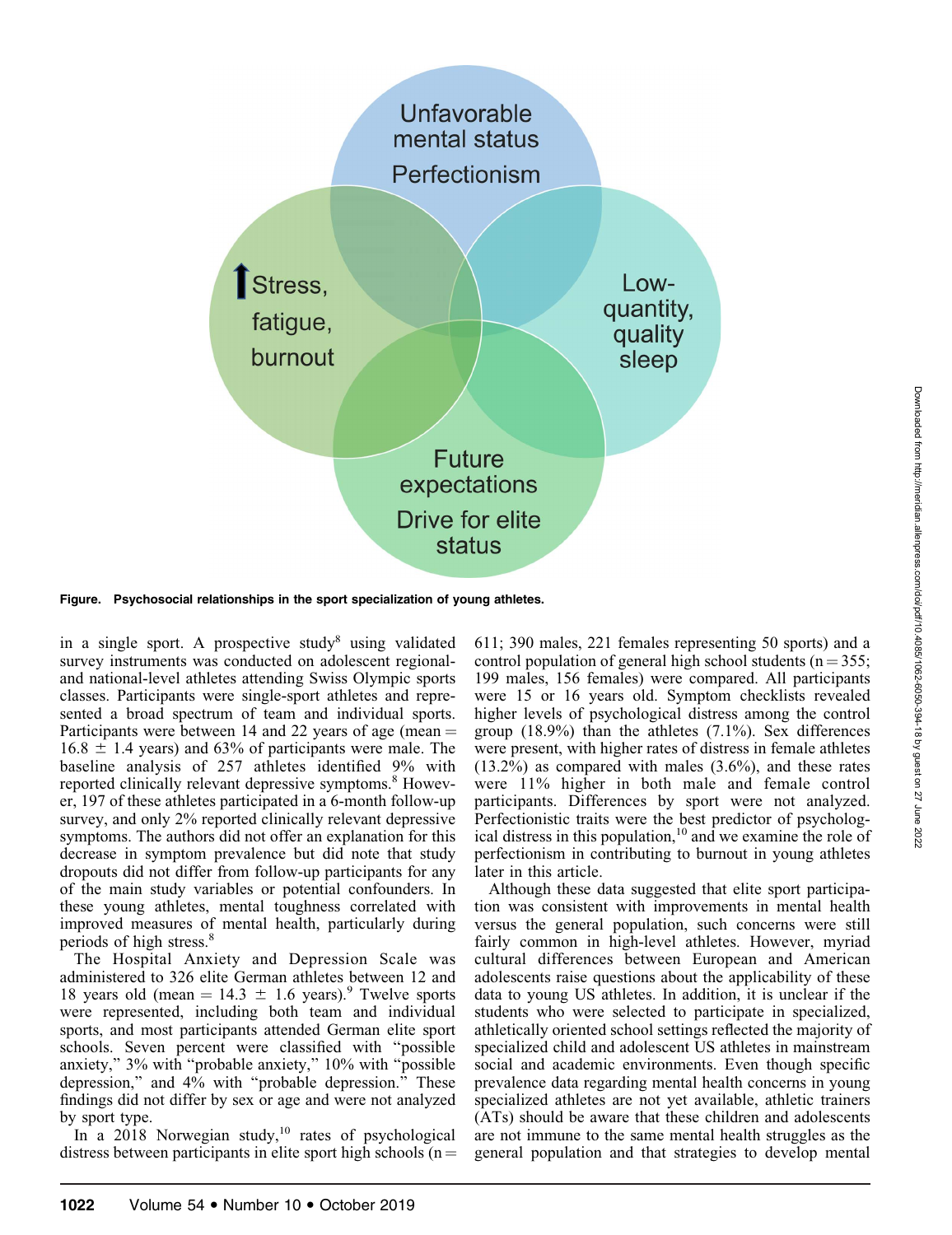

Figure. Psychosocial relationships in the sport specialization of young athletes.

in a single sport. A prospective study<sup>8</sup> using validated survey instruments was conducted on adolescent regionaland national-level athletes attending Swiss Olympic sports classes. Participants were single-sport athletes and represented a broad spectrum of team and individual sports. Participants were between 14 and 22 years of age (mean  $=$  $16.8 \pm 1.4$  years) and 63% of participants were male. The baseline analysis of 257 athletes identified 9% with reported clinically relevant depressive symptoms.<sup>8</sup> However, 197 of these athletes participated in a 6-month follow-up survey, and only 2% reported clinically relevant depressive symptoms. The authors did not offer an explanation for this decrease in symptom prevalence but did note that study dropouts did not differ from follow-up participants for any of the main study variables or potential confounders. In these young athletes, mental toughness correlated with improved measures of mental health, particularly during periods of high stress.<sup>8</sup>

The Hospital Anxiety and Depression Scale was administered to 326 elite German athletes between 12 and 18 years old (mean  $= 14.3 \pm 1.6$  years).<sup>9</sup> Twelve sports were represented, including both team and individual sports, and most participants attended German elite sport schools. Seven percent were classified with ''possible anxiety,'' 3% with ''probable anxiety,'' 10% with ''possible depression,'' and 4% with ''probable depression.'' These findings did not differ by sex or age and were not analyzed by sport type.

In a  $2018$  Norwegian study,<sup>10</sup> rates of psychological distress between participants in elite sport high schools ( $n =$  611; 390 males, 221 females representing 50 sports) and a control population of general high school students ( $n = 355$ ; 199 males, 156 females) were compared. All participants were 15 or 16 years old. Symptom checklists revealed higher levels of psychological distress among the control group (18.9%) than the athletes (7.1%). Sex differences were present, with higher rates of distress in female athletes (13.2%) as compared with males (3.6%), and these rates were 11% higher in both male and female control participants. Differences by sport were not analyzed. Perfectionistic traits were the best predictor of psychological distress in this population,<sup>10</sup> and we examine the role of perfectionism in contributing to burnout in young athletes later in this article.

Although these data suggested that elite sport participation was consistent with improvements in mental health versus the general population, such concerns were still fairly common in high-level athletes. However, myriad cultural differences between European and American adolescents raise questions about the applicability of these data to young US athletes. In addition, it is unclear if the students who were selected to participate in specialized, athletically oriented school settings reflected the majority of specialized child and adolescent US athletes in mainstream social and academic environments. Even though specific prevalence data regarding mental health concerns in young specialized athletes are not yet available, athletic trainers (ATs) should be aware that these children and adolescents are not immune to the same mental health struggles as the general population and that strategies to develop mental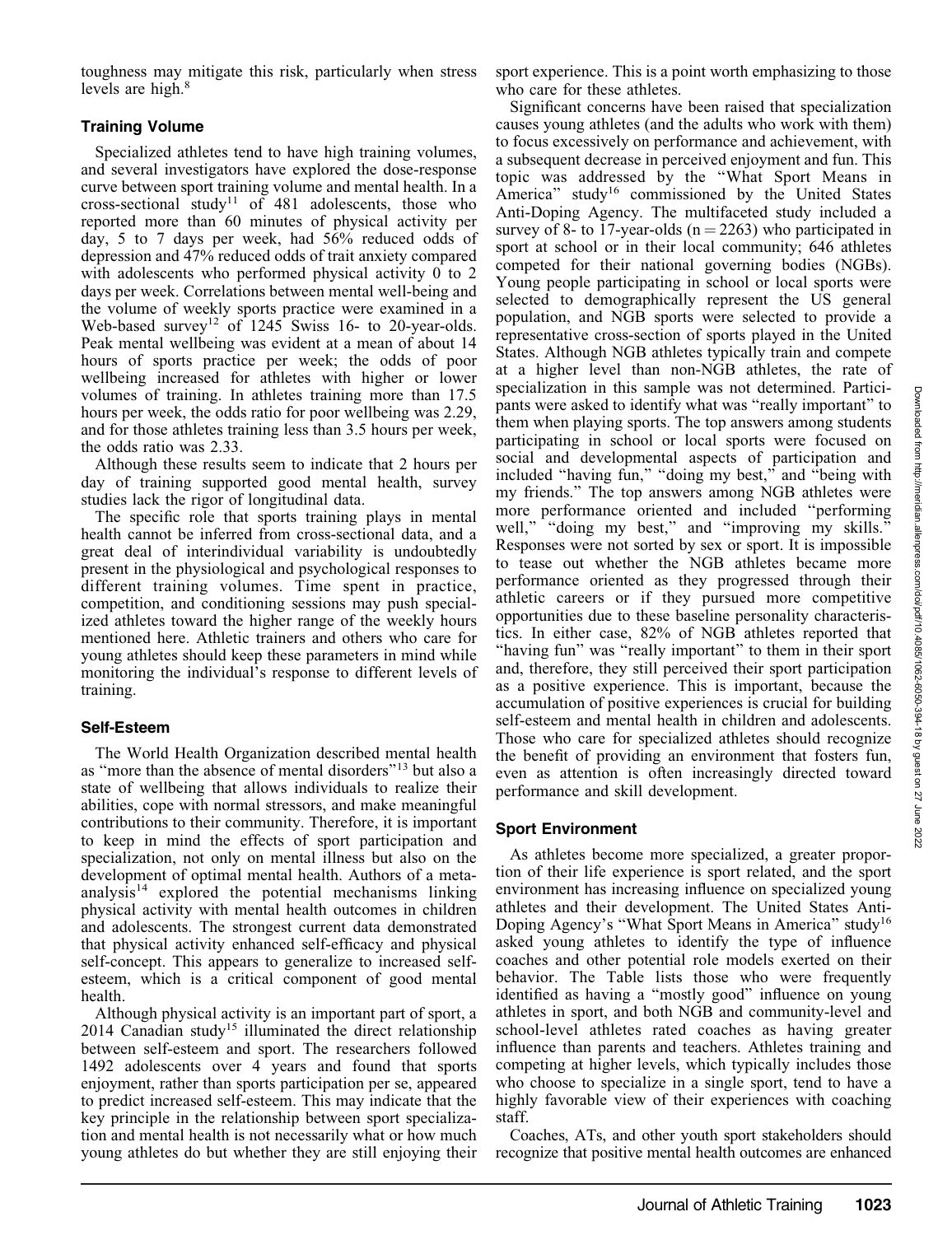toughness may mitigate this risk, particularly when stress levels are high. $8$ 

# Training Volume

Specialized athletes tend to have high training volumes, and several investigators have explored the dose-response curve between sport training volume and mental health. In a cross-sectional study<sup>11</sup> of 481 adolescents, those who reported more than 60 minutes of physical activity per day, 5 to 7 days per week, had 56% reduced odds of depression and 47% reduced odds of trait anxiety compared with adolescents who performed physical activity 0 to 2 days per week. Correlations between mental well-being and the volume of weekly sports practice were examined in a Web-based survey<sup>12</sup> of  $1245$  Swiss 16- to 20-year-olds. Peak mental wellbeing was evident at a mean of about 14 hours of sports practice per week; the odds of poor wellbeing increased for athletes with higher or lower volumes of training. In athletes training more than 17.5 hours per week, the odds ratio for poor wellbeing was 2.29, and for those athletes training less than 3.5 hours per week, the odds ratio was 2.33.

Although these results seem to indicate that 2 hours per day of training supported good mental health, survey studies lack the rigor of longitudinal data.

The specific role that sports training plays in mental health cannot be inferred from cross-sectional data, and a great deal of interindividual variability is undoubtedly present in the physiological and psychological responses to different training volumes. Time spent in practice, competition, and conditioning sessions may push specialized athletes toward the higher range of the weekly hours mentioned here. Athletic trainers and others who care for young athletes should keep these parameters in mind while monitoring the individual's response to different levels of training.

# Self-Esteem

The World Health Organization described mental health as ''more than the absence of mental disorders''<sup>13</sup> but also a state of wellbeing that allows individuals to realize their abilities, cope with normal stressors, and make meaningful contributions to their community. Therefore, it is important to keep in mind the effects of sport participation and specialization, not only on mental illness but also on the development of optimal mental health. Authors of a metaanalysis $14$  explored the potential mechanisms linking physical activity with mental health outcomes in children and adolescents. The strongest current data demonstrated that physical activity enhanced self-efficacy and physical self-concept. This appears to generalize to increased selfesteem, which is a critical component of good mental health.

Although physical activity is an important part of sport, a  $2014$  Canadian study<sup>15</sup> illuminated the direct relationship between self-esteem and sport. The researchers followed 1492 adolescents over 4 years and found that sports enjoyment, rather than sports participation per se, appeared to predict increased self-esteem. This may indicate that the key principle in the relationship between sport specialization and mental health is not necessarily what or how much young athletes do but whether they are still enjoying their sport experience. This is a point worth emphasizing to those who care for these athletes.

Significant concerns have been raised that specialization causes young athletes (and the adults who work with them) to focus excessively on performance and achievement, with a subsequent decrease in perceived enjoyment and fun. This topic was addressed by the ''What Sport Means in America" study<sup>16</sup> commissioned by the United States Anti-Doping Agency. The multifaceted study included a survey of 8- to 17-year-olds ( $n = 2263$ ) who participated in sport at school or in their local community; 646 athletes competed for their national governing bodies (NGBs). Young people participating in school or local sports were selected to demographically represent the US general population, and NGB sports were selected to provide a representative cross-section of sports played in the United States. Although NGB athletes typically train and compete at a higher level than non-NGB athletes, the rate of specialization in this sample was not determined. Participants were asked to identify what was ''really important'' to them when playing sports. The top answers among students participating in school or local sports were focused on social and developmental aspects of participation and included "having fun," "doing my best," and "being with my friends.'' The top answers among NGB athletes were more performance oriented and included ''performing well," "doing my best," and "improving my skills." Responses were not sorted by sex or sport. It is impossible to tease out whether the NGB athletes became more performance oriented as they progressed through their athletic careers or if they pursued more competitive opportunities due to these baseline personality characteristics. In either case, 82% of NGB athletes reported that "having fun" was "really important" to them in their sport and, therefore, they still perceived their sport participation as a positive experience. This is important, because the accumulation of positive experiences is crucial for building self-esteem and mental health in children and adolescents. Those who care for specialized athletes should recognize the benefit of providing an environment that fosters fun, even as attention is often increasingly directed toward performance and skill development.

# Sport Environment

As athletes become more specialized, a greater proportion of their life experience is sport related, and the sport environment has increasing influence on specialized young athletes and their development. The United States Anti-Doping Agency's "What Sport Means in America" study<sup>16</sup> asked young athletes to identify the type of influence coaches and other potential role models exerted on their behavior. The Table lists those who were frequently identified as having a ''mostly good'' influence on young athletes in sport, and both NGB and community-level and school-level athletes rated coaches as having greater influence than parents and teachers. Athletes training and competing at higher levels, which typically includes those who choose to specialize in a single sport, tend to have a highly favorable view of their experiences with coaching staff.

Coaches, ATs, and other youth sport stakeholders should recognize that positive mental health outcomes are enhanced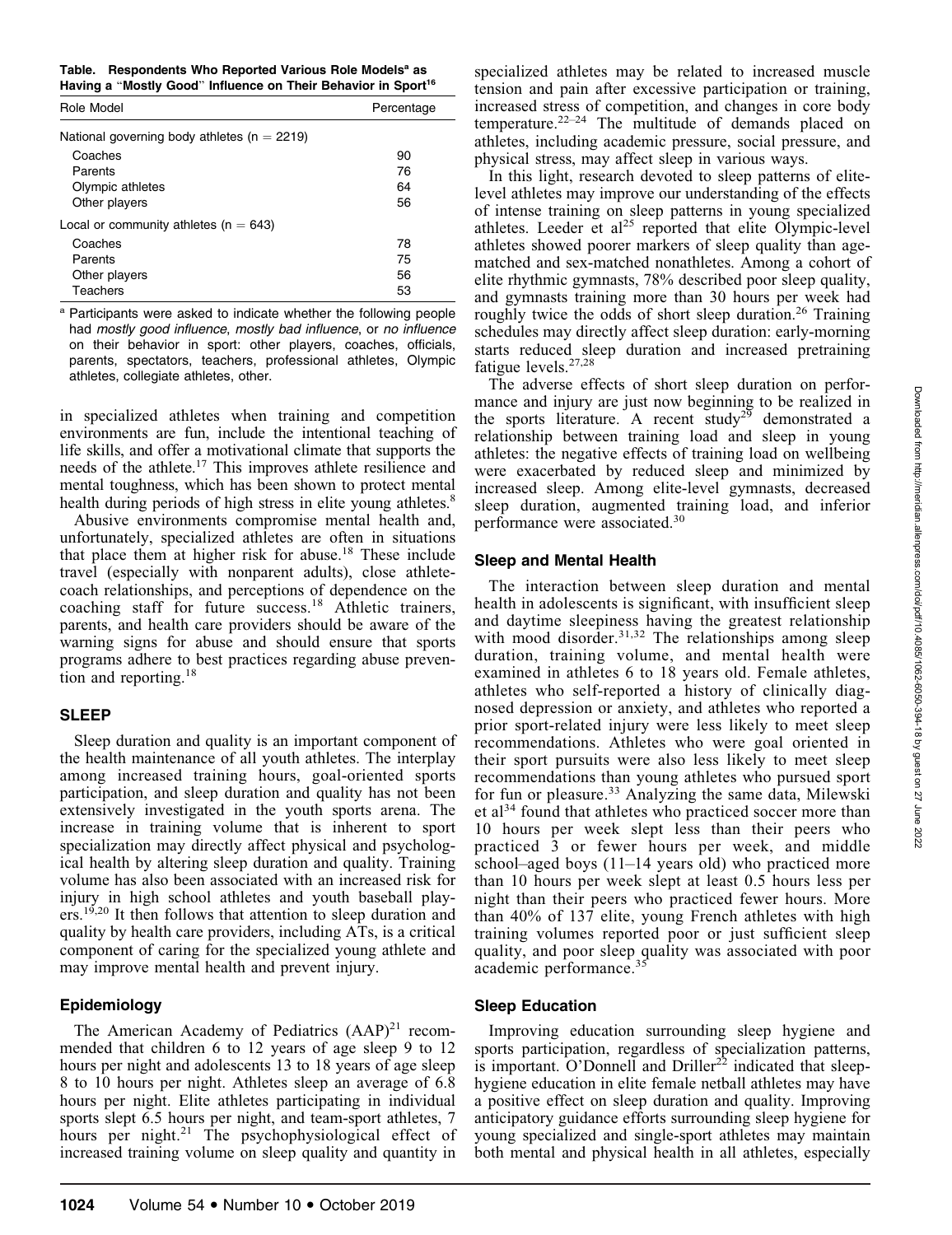Table. Respondents Who Reported Various Role Models<sup>a</sup> as Having a "Mostly Good" Influence on Their Behavior in Sport<sup>16</sup>

| Role Model                                      | Percentage |
|-------------------------------------------------|------------|
| National governing body athletes ( $n = 2219$ ) |            |
| Coaches                                         | 90         |
| Parents                                         | 76         |
| Olympic athletes                                | 64         |
| Other players                                   | 56         |
| Local or community athletes ( $n = 643$ )       |            |
| Coaches                                         | 78         |
| Parents                                         | 75         |
| Other players                                   | 56         |
| Teachers                                        | 53         |

<sup>a</sup> Participants were asked to indicate whether the following people had mostly good influence, mostly bad influence, or no influence on their behavior in sport: other players, coaches, officials, parents, spectators, teachers, professional athletes, Olympic athletes, collegiate athletes, other.

in specialized athletes when training and competition environments are fun, include the intentional teaching of life skills, and offer a motivational climate that supports the needs of the athlete.17 This improves athlete resilience and mental toughness, which has been shown to protect mental health during periods of high stress in elite young athletes.<sup>8</sup>

Abusive environments compromise mental health and, unfortunately, specialized athletes are often in situations that place them at higher risk for abuse.<sup>18</sup> These include travel (especially with nonparent adults), close athletecoach relationships, and perceptions of dependence on the coaching staff for future success.<sup>18</sup> Athletic trainers, parents, and health care providers should be aware of the warning signs for abuse and should ensure that sports programs adhere to best practices regarding abuse prevention and reporting.18

# SLEEP

Sleep duration and quality is an important component of the health maintenance of all youth athletes. The interplay among increased training hours, goal-oriented sports participation, and sleep duration and quality has not been extensively investigated in the youth sports arena. The increase in training volume that is inherent to sport specialization may directly affect physical and psychological health by altering sleep duration and quality. Training volume has also been associated with an increased risk for injury in high school athletes and youth baseball players.<sup>19,20</sup> It then follows that attention to sleep duration and quality by health care providers, including ATs, is a critical component of caring for the specialized young athlete and may improve mental health and prevent injury.

# Epidemiology

The American Academy of Pediatrics  $(AAP)^{21}$  recommended that children 6 to 12 years of age sleep 9 to 12 hours per night and adolescents 13 to 18 years of age sleep 8 to 10 hours per night. Athletes sleep an average of 6.8 hours per night. Elite athletes participating in individual sports slept 6.5 hours per night, and team-sport athletes, 7 hours per night.<sup>21</sup> The psychophysiological effect of increased training volume on sleep quality and quantity in specialized athletes may be related to increased muscle tension and pain after excessive participation or training, increased stress of competition, and changes in core body temperature.22–24 The multitude of demands placed on athletes, including academic pressure, social pressure, and physical stress, may affect sleep in various ways.

In this light, research devoted to sleep patterns of elitelevel athletes may improve our understanding of the effects of intense training on sleep patterns in young specialized athletes. Leeder et  $al^{25}$  reported that elite Olympic-level athletes showed poorer markers of sleep quality than agematched and sex-matched nonathletes. Among a cohort of elite rhythmic gymnasts, 78% described poor sleep quality, and gymnasts training more than 30 hours per week had roughly twice the odds of short sleep duration.<sup>26</sup> Training schedules may directly affect sleep duration: early-morning starts reduced sleep duration and increased pretraining fatigue levels.27,28

The adverse effects of short sleep duration on performance and injury are just now beginning to be realized in the sports literature. A recent study<sup>29</sup> demonstrated a relationship between training load and sleep in young athletes: the negative effects of training load on wellbeing were exacerbated by reduced sleep and minimized by increased sleep. Among elite-level gymnasts, decreased sleep duration, augmented training load, and inferior performance were associated.<sup>30</sup>

# Sleep and Mental Health

The interaction between sleep duration and mental health in adolescents is significant, with insufficient sleep and daytime sleepiness having the greatest relationship with mood disorder. $31,32$  The relationships among sleep duration, training volume, and mental health were examined in athletes 6 to 18 years old. Female athletes, athletes who self-reported a history of clinically diagnosed depression or anxiety, and athletes who reported a prior sport-related injury were less likely to meet sleep recommendations. Athletes who were goal oriented in their sport pursuits were also less likely to meet sleep recommendations than young athletes who pursued sport for fun or pleasure.<sup>33</sup> Analyzing the same data, Milewski et  $al<sup>34</sup>$  found that athletes who practiced soccer more than 10 hours per week slept less than their peers who practiced 3 or fewer hours per week, and middle school–aged boys (11–14 years old) who practiced more than 10 hours per week slept at least 0.5 hours less per night than their peers who practiced fewer hours. More than 40% of 137 elite, young French athletes with high training volumes reported poor or just sufficient sleep quality, and poor sleep quality was associated with poor academic performance.<sup>35</sup>

# Sleep Education

Improving education surrounding sleep hygiene and sports participation, regardless of specialization patterns, is important. O'Donnell and Driller<sup>22</sup> indicated that sleephygiene education in elite female netball athletes may have a positive effect on sleep duration and quality. Improving anticipatory guidance efforts surrounding sleep hygiene for young specialized and single-sport athletes may maintain both mental and physical health in all athletes, especially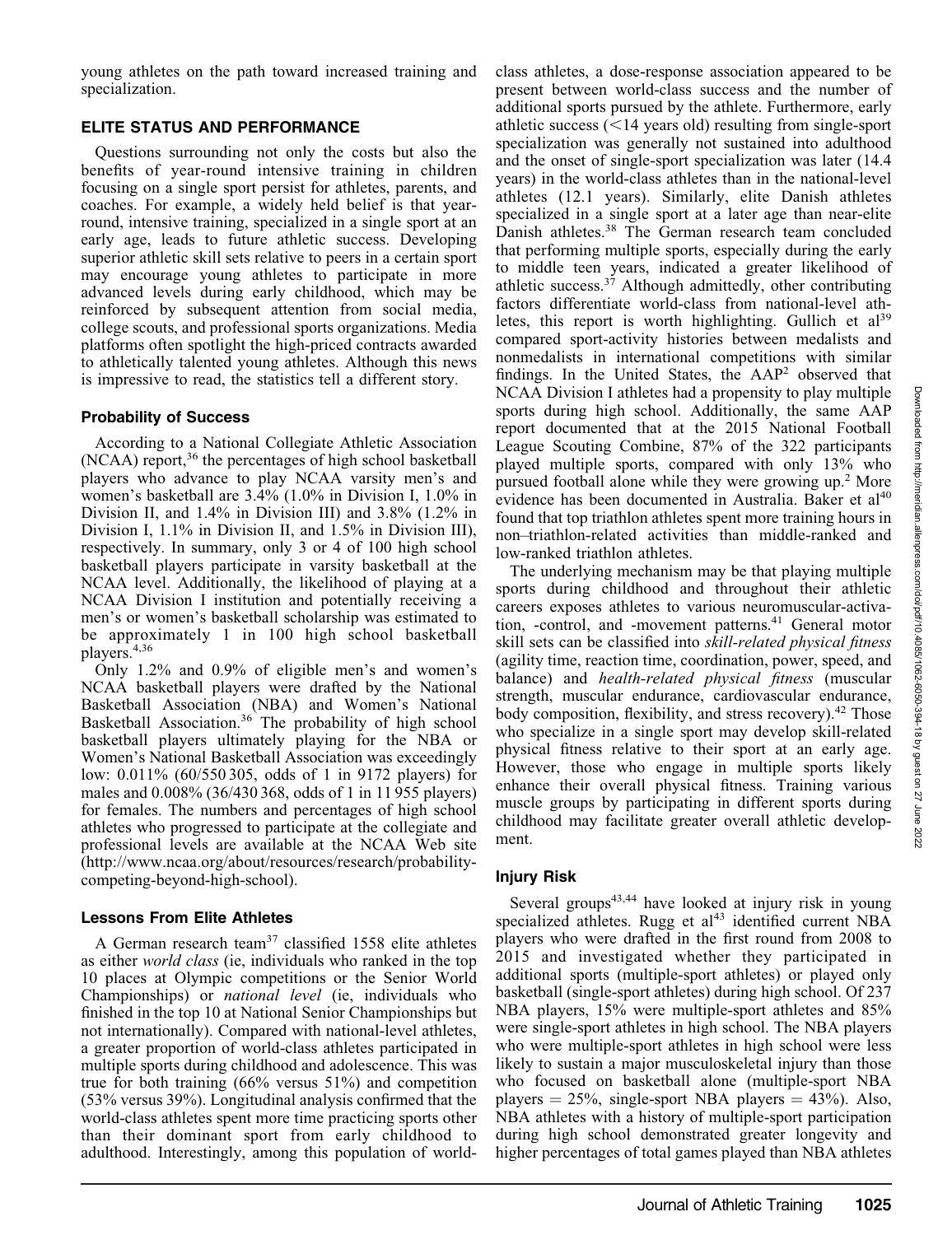young athletes on the path toward increased training and specialization.

# ELITE STATUS AND PERFORMANCE

Questions surrounding not only the costs but also the benefits of year-round intensive training in children focusing on a single sport persist for athletes, parents, and coaches. For example, a widely held belief is that yearround, intensive training, specialized in a single sport at an early age, leads to future athletic success. Developing superior athletic skill sets relative to peers in a certain sport may encourage young athletes to participate in more advanced levels during early childhood, which may be reinforced by subsequent attention from social media, college scouts, and professional sports organizations. Media platforms often spotlight the high-priced contracts awarded to athletically talented young athletes. Although this news is impressive to read, the statistics tell a different story.

#### Probability of Success

According to a National Collegiate Athletic Association (NCAA) report,<sup>36</sup> the percentages of high school basketball players who advance to play NCAA varsity men's and women's basketball are 3.4% (1.0% in Division I, 1.0% in Division II, and 1.4% in Division III) and 3.8% (1.2% in Division I, 1.1% in Division II, and 1.5% in Division III), respectively. In summary, only 3 or 4 of 100 high school basketball players participate in varsity basketball at the NCAA level. Additionally, the likelihood of playing at a NCAA Division I institution and potentially receiving a men's or women's basketball scholarship was estimated to be approximately 1 in 100 high school basketball players.4,36

Only 1.2% and 0.9% of eligible men's and women's NCAA basketball players were drafted by the National Basketball Association (NBA) and Women's National Basketball Association.<sup>36</sup> The probability of high school basketball players ultimately playing for the NBA or Women's National Basketball Association was exceedingly low: 0.011% (60/550 305, odds of 1 in 9172 players) for males and 0.008% (36/430 368, odds of 1 in 11 955 players) for females. The numbers and percentages of high school athletes who progressed to participate at the collegiate and professional levels are available at the NCAA Web site (http://www.ncaa.org/about/resources/research/probabilitycompeting-beyond-high-school).

# Lessons From Elite Athletes

A German research team<sup>37</sup> classified 1558 elite athletes as either world class (ie, individuals who ranked in the top 10 places at Olympic competitions or the Senior World Championships) or national level (ie, individuals who finished in the top 10 at National Senior Championships but not internationally). Compared with national-level athletes, a greater proportion of world-class athletes participated in multiple sports during childhood and adolescence. This was true for both training (66% versus 51%) and competition (53% versus 39%). Longitudinal analysis confirmed that the world-class athletes spent more time practicing sports other than their dominant sport from early childhood to adulthood. Interestingly, among this population of worldclass athletes, a dose-response association appeared to be present between world-class success and the number of additional sports pursued by the athlete. Furthermore, early athletic success  $\left($  < 14 years old) resulting from single-sport specialization was generally not sustained into adulthood and the onset of single-sport specialization was later (14.4 years) in the world-class athletes than in the national-level athletes (12.1 years). Similarly, elite Danish athletes specialized in a single sport at a later age than near-elite Danish athletes.<sup>38</sup> The German research team concluded that performing multiple sports, especially during the early to middle teen years, indicated a greater likelihood of athletic success.<sup>37</sup> Although admittedly, other contributing factors differentiate world-class from national-level athletes, this report is worth highlighting. Gullich et  $al^{39}$ compared sport-activity histories between medalists and nonmedalists in international competitions with similar findings. In the United States, the AAP2 observed that NCAA Division I athletes had a propensity to play multiple sports during high school. Additionally, the same AAP report documented that at the 2015 National Football League Scouting Combine, 87% of the 322 participants played multiple sports, compared with only 13% who pursued football alone while they were growing up.<sup>2</sup> More evidence has been documented in Australia. Baker et al<sup>40</sup> found that top triathlon athletes spent more training hours in non–triathlon-related activities than middle-ranked and low-ranked triathlon athletes.

The underlying mechanism may be that playing multiple sports during childhood and throughout their athletic careers exposes athletes to various neuromuscular-activation, -control, and -movement patterns.<sup>41</sup> General motor skill sets can be classified into skill-related physical fitness (agility time, reaction time, coordination, power, speed, and balance) and health-related physical fitness (muscular strength, muscular endurance, cardiovascular endurance, body composition, flexibility, and stress recovery).<sup>42</sup> Those who specialize in a single sport may develop skill-related physical fitness relative to their sport at an early age. However, those who engage in multiple sports likely enhance their overall physical fitness. Training various muscle groups by participating in different sports during childhood may facilitate greater overall athletic development.

# Injury Risk

Several groups $43,44$  have looked at injury risk in young specialized athletes. Rugg et al<sup>43</sup> identified current NBA players who were drafted in the first round from 2008 to 2015 and investigated whether they participated in additional sports (multiple-sport athletes) or played only basketball (single-sport athletes) during high school. Of 237 NBA players, 15% were multiple-sport athletes and 85% were single-sport athletes in high school. The NBA players who were multiple-sport athletes in high school were less likely to sustain a major musculoskeletal injury than those who focused on basketball alone (multiple-sport NBA players  $= 25\%$ , single-sport NBA players  $= 43\%$ ). Also, NBA athletes with a history of multiple-sport participation during high school demonstrated greater longevity and higher percentages of total games played than NBA athletes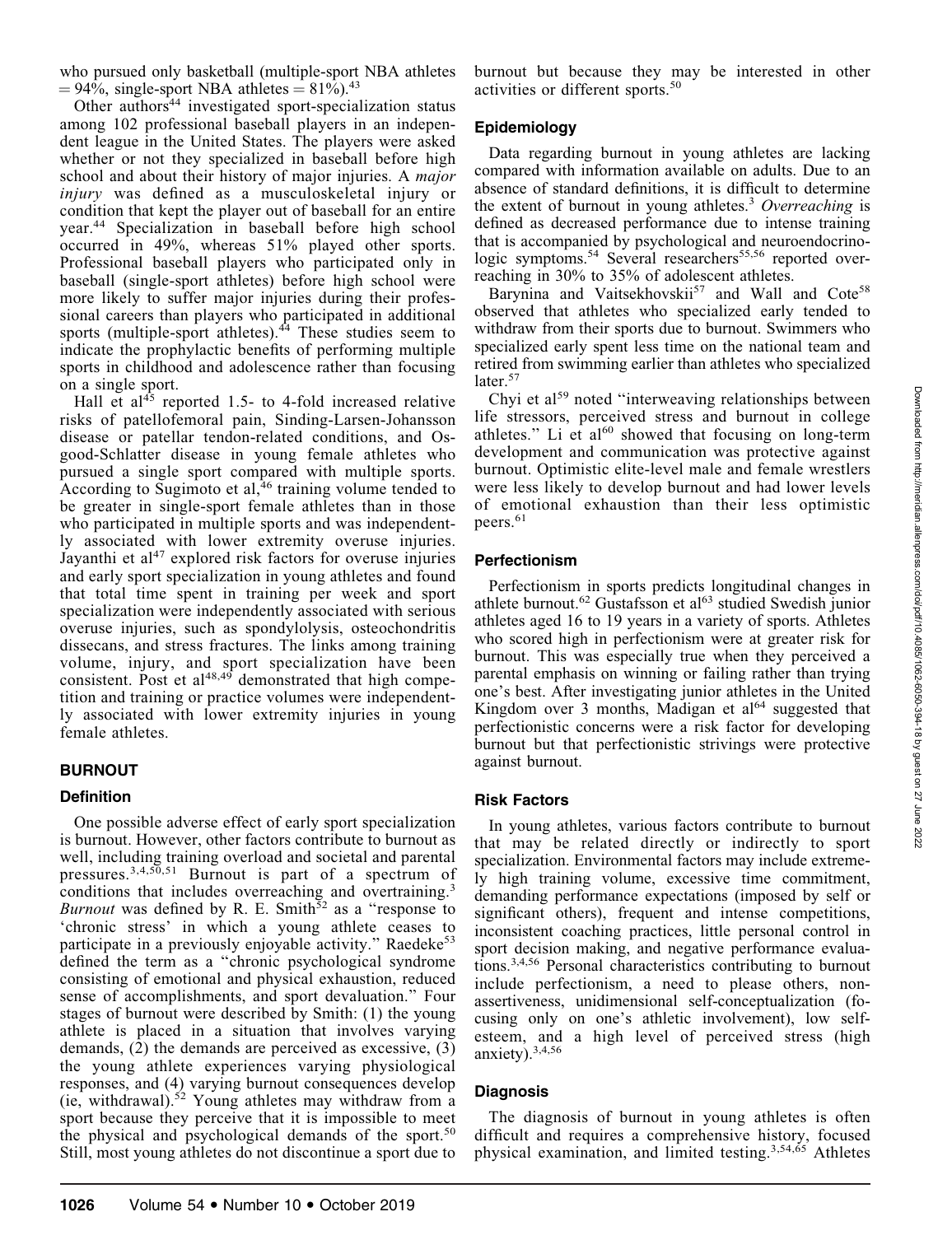who pursued only basketball (multiple-sport NBA athletes  $= 94\%$ , single-sport NBA athletes  $= 81\%$ .<sup>43</sup>

Other authors<sup>44</sup> investigated sport-specialization status among 102 professional baseball players in an independent league in the United States. The players were asked whether or not they specialized in baseball before high school and about their history of major injuries. A *major* injury was defined as a musculoskeletal injury or condition that kept the player out of baseball for an entire year.<sup>44</sup> Specialization in baseball before high school occurred in 49%, whereas 51% played other sports. Professional baseball players who participated only in baseball (single-sport athletes) before high school were more likely to suffer major injuries during their professional careers than players who participated in additional sports (multiple-sport athletes). $44$  These studies seem to indicate the prophylactic benefits of performing multiple sports in childhood and adolescence rather than focusing on a single sport.

Hall et al<sup>45</sup> reported 1.5- to 4-fold increased relative risks of patellofemoral pain, Sinding-Larsen-Johansson disease or patellar tendon-related conditions, and Osgood-Schlatter disease in young female athletes who pursued a single sport compared with multiple sports. According to Sugimoto et al,  $46$  training volume tended to be greater in single-sport female athletes than in those who participated in multiple sports and was independently associated with lower extremity overuse injuries. Jayanthi et  $al^{47}$  explored risk factors for overuse injuries and early sport specialization in young athletes and found that total time spent in training per week and sport specialization were independently associated with serious overuse injuries, such as spondylolysis, osteochondritis dissecans, and stress fractures. The links among training volume, injury, and sport specialization have been consistent. Post et al $48,49$  demonstrated that high competition and training or practice volumes were independently associated with lower extremity injuries in young female athletes.

#### BURNOUT

#### Definition

One possible adverse effect of early sport specialization is burnout. However, other factors contribute to burnout as well, including training overload and societal and parental pressures.3,4,50,51 Burnout is part of a spectrum of conditions that includes overreaching and overtraining.<sup>3</sup> Burnout was defined by R. E. Smith<sup>52</sup> as a "response to 'chronic stress' in which a young athlete ceases to participate in a previously enjoyable activity." Raedeke<sup>53</sup> defined the term as a ''chronic psychological syndrome consisting of emotional and physical exhaustion, reduced sense of accomplishments, and sport devaluation.'' Four stages of burnout were described by Smith: (1) the young athlete is placed in a situation that involves varying demands, (2) the demands are perceived as excessive, (3) the young athlete experiences varying physiological responses, and (4) varying burnout consequences develop (ie, withdrawal).<sup>52</sup> Young athletes may withdraw from a sport because they perceive that it is impossible to meet the physical and psychological demands of the sport.<sup>50</sup> Still, most young athletes do not discontinue a sport due to

burnout but because they may be interested in other activities or different sports.<sup>50</sup>

#### Epidemiology

Data regarding burnout in young athletes are lacking compared with information available on adults. Due to an absence of standard definitions, it is difficult to determine the extent of burnout in young athletes.<sup>3</sup> Overreaching is defined as decreased performance due to intense training that is accompanied by psychological and neuroendocrinologic symptoms.<sup>54</sup> Several researchers<sup>55,56</sup> reported overreaching in 30% to 35% of adolescent athletes.

Barynina and Vaitsekhovskii<sup>57</sup> and Wall and Cote<sup>58</sup> observed that athletes who specialized early tended to withdraw from their sports due to burnout. Swimmers who specialized early spent less time on the national team and retired from swimming earlier than athletes who specialized later.<sup>57</sup>

Chyi et al<sup>59</sup> noted "interweaving relationships between life stressors, perceived stress and burnout in college athletes." Li et  $al^{60}$  showed that focusing on long-term development and communication was protective against burnout. Optimistic elite-level male and female wrestlers were less likely to develop burnout and had lower levels of emotional exhaustion than their less optimistic peers.<sup>61</sup>

#### Perfectionism

Perfectionism in sports predicts longitudinal changes in athlete burnout.<sup>62</sup> Gustafsson et al<sup>63</sup> studied Swedish junior athletes aged 16 to 19 years in a variety of sports. Athletes who scored high in perfectionism were at greater risk for burnout. This was especially true when they perceived a parental emphasis on winning or failing rather than trying one's best. After investigating junior athletes in the United Kingdom over 3 months, Madigan et  $al<sup>64</sup>$  suggested that perfectionistic concerns were a risk factor for developing burnout but that perfectionistic strivings were protective against burnout.

#### Risk Factors

In young athletes, various factors contribute to burnout that may be related directly or indirectly to sport specialization. Environmental factors may include extremely high training volume, excessive time commitment, demanding performance expectations (imposed by self or significant others), frequent and intense competitions, inconsistent coaching practices, little personal control in sport decision making, and negative performance evaluations.3,4,56 Personal characteristics contributing to burnout include perfectionism, a need to please others, nonassertiveness, unidimensional self-conceptualization (focusing only on one's athletic involvement), low selfesteem, and a high level of perceived stress (high anxiety). $3,4,56$ 

#### **Diagnosis**

The diagnosis of burnout in young athletes is often difficult and requires a comprehensive history, focused physical examination, and limited testing.3,54,65 Athletes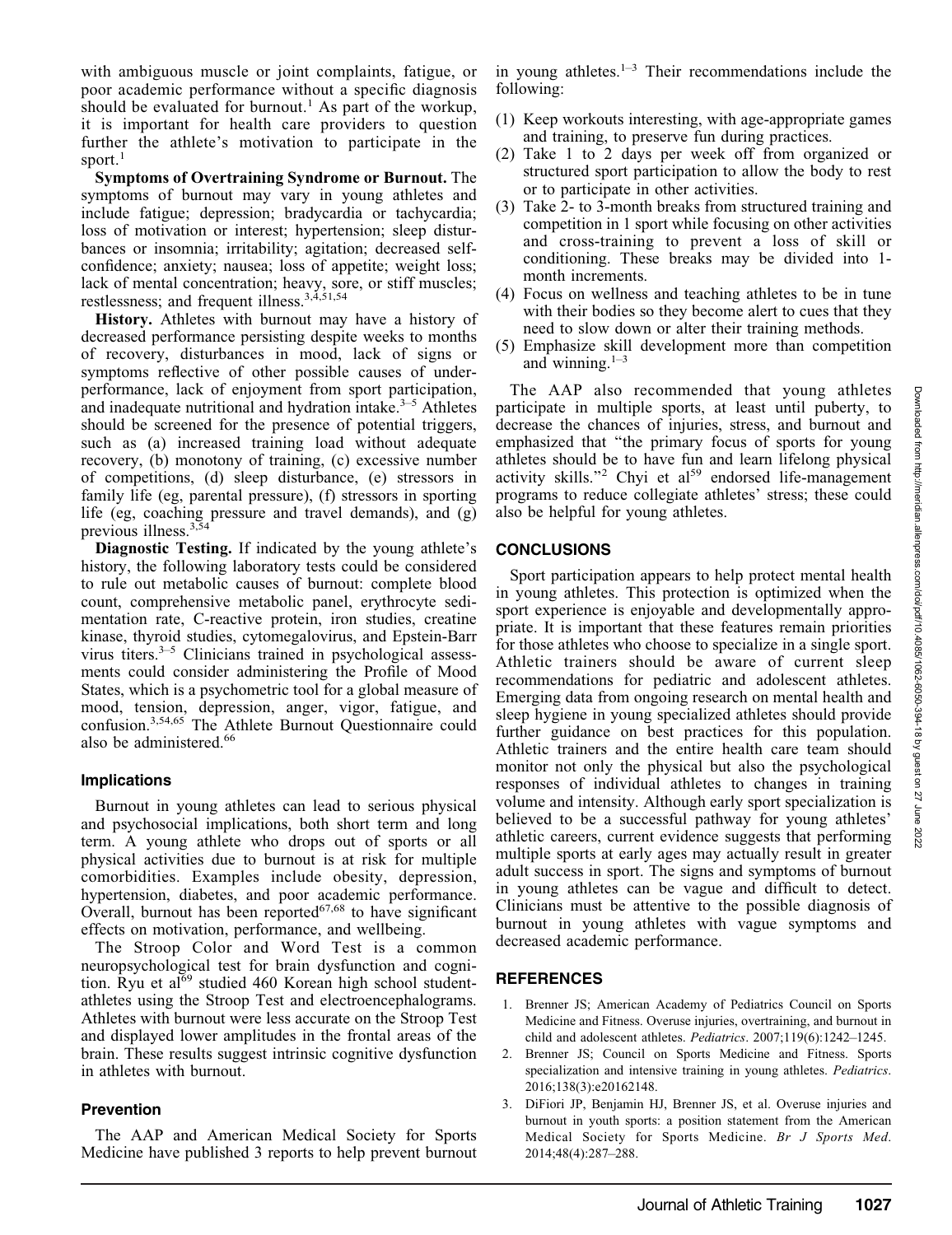with ambiguous muscle or joint complaints, fatigue, or poor academic performance without a specific diagnosis should be evaluated for burnout.<sup>1</sup> As part of the workup, it is important for health care providers to question further the athlete's motivation to participate in the sport. $<sup>1</sup>$ </sup>

Symptoms of Overtraining Syndrome or Burnout. The symptoms of burnout may vary in young athletes and include fatigue; depression; bradycardia or tachycardia; loss of motivation or interest; hypertension; sleep disturbances or insomnia; irritability; agitation; decreased selfconfidence; anxiety; nausea; loss of appetite; weight loss; lack of mental concentration; heavy, sore, or stiff muscles; restlessness; and frequent illness.<sup>3,4,51,54</sup>

History. Athletes with burnout may have a history of decreased performance persisting despite weeks to months of recovery, disturbances in mood, lack of signs or symptoms reflective of other possible causes of underperformance, lack of enjoyment from sport participation, and inadequate nutritional and hydration intake. $3-5$  Athletes should be screened for the presence of potential triggers, such as (a) increased training load without adequate recovery, (b) monotony of training, (c) excessive number of competitions, (d) sleep disturbance, (e) stressors in family life (eg, parental pressure), (f) stressors in sporting life (eg, coaching pressure and travel demands), and (g) previous illness.3,54

Diagnostic Testing. If indicated by the young athlete's history, the following laboratory tests could be considered to rule out metabolic causes of burnout: complete blood count, comprehensive metabolic panel, erythrocyte sedimentation rate, C-reactive protein, iron studies, creatine kinase, thyroid studies, cytomegalovirus, and Epstein-Barr virus titers.3–5 Clinicians trained in psychological assessments could consider administering the Profile of Mood States, which is a psychometric tool for a global measure of mood, tension, depression, anger, vigor, fatigue, and confusion.3,54,65 The Athlete Burnout Questionnaire could also be administered.<sup>66</sup>

#### Implications

Burnout in young athletes can lead to serious physical and psychosocial implications, both short term and long term. A young athlete who drops out of sports or all physical activities due to burnout is at risk for multiple comorbidities. Examples include obesity, depression, hypertension, diabetes, and poor academic performance. Overall, burnout has been reported $67,68$  to have significant effects on motivation, performance, and wellbeing.

The Stroop Color and Word Test is a common neuropsychological test for brain dysfunction and cognition. Ryu et al<sup>69</sup> studied 460 Korean high school studentathletes using the Stroop Test and electroencephalograms. Athletes with burnout were less accurate on the Stroop Test and displayed lower amplitudes in the frontal areas of the brain. These results suggest intrinsic cognitive dysfunction in athletes with burnout.

#### Prevention

The AAP and American Medical Society for Sports Medicine have published 3 reports to help prevent burnout in young athletes. $1-3$  Their recommendations include the following:

- (1) Keep workouts interesting, with age-appropriate games and training, to preserve fun during practices.
- (2) Take 1 to 2 days per week off from organized or structured sport participation to allow the body to rest or to participate in other activities.
- (3) Take 2- to 3-month breaks from structured training and competition in 1 sport while focusing on other activities and cross-training to prevent a loss of skill or conditioning. These breaks may be divided into 1 month increments.
- (4) Focus on wellness and teaching athletes to be in tune with their bodies so they become alert to cues that they need to slow down or alter their training methods.
- (5) Emphasize skill development more than competition and winning. $1-3$

The AAP also recommended that young athletes participate in multiple sports, at least until puberty, to decrease the chances of injuries, stress, and burnout and emphasized that ''the primary focus of sports for young athletes should be to have fun and learn lifelong physical activity skills."<sup>2</sup> Chyi et al<sup>59</sup> endorsed life-management programs to reduce collegiate athletes' stress; these could also be helpful for young athletes.

# **CONCLUSIONS**

Sport participation appears to help protect mental health in young athletes. This protection is optimized when the sport experience is enjoyable and developmentally appropriate. It is important that these features remain priorities for those athletes who choose to specialize in a single sport. Athletic trainers should be aware of current sleep recommendations for pediatric and adolescent athletes. Emerging data from ongoing research on mental health and sleep hygiene in young specialized athletes should provide further guidance on best practices for this population. Athletic trainers and the entire health care team should monitor not only the physical but also the psychological responses of individual athletes to changes in training volume and intensity. Although early sport specialization is believed to be a successful pathway for young athletes' athletic careers, current evidence suggests that performing multiple sports at early ages may actually result in greater adult success in sport. The signs and symptoms of burnout in young athletes can be vague and difficult to detect. Clinicians must be attentive to the possible diagnosis of burnout in young athletes with vague symptoms and decreased academic performance.

# **REFERENCES**

- 1. Brenner JS; American Academy of Pediatrics Council on Sports Medicine and Fitness. Overuse injuries, overtraining, and burnout in child and adolescent athletes. Pediatrics. 2007;119(6):1242–1245.
- 2. Brenner JS; Council on Sports Medicine and Fitness. Sports specialization and intensive training in young athletes. Pediatrics. 2016;138(3):e20162148.
- 3. DiFiori JP, Benjamin HJ, Brenner JS, et al. Overuse injuries and burnout in youth sports: a position statement from the American Medical Society for Sports Medicine. Br J Sports Med. 2014;48(4):287–288.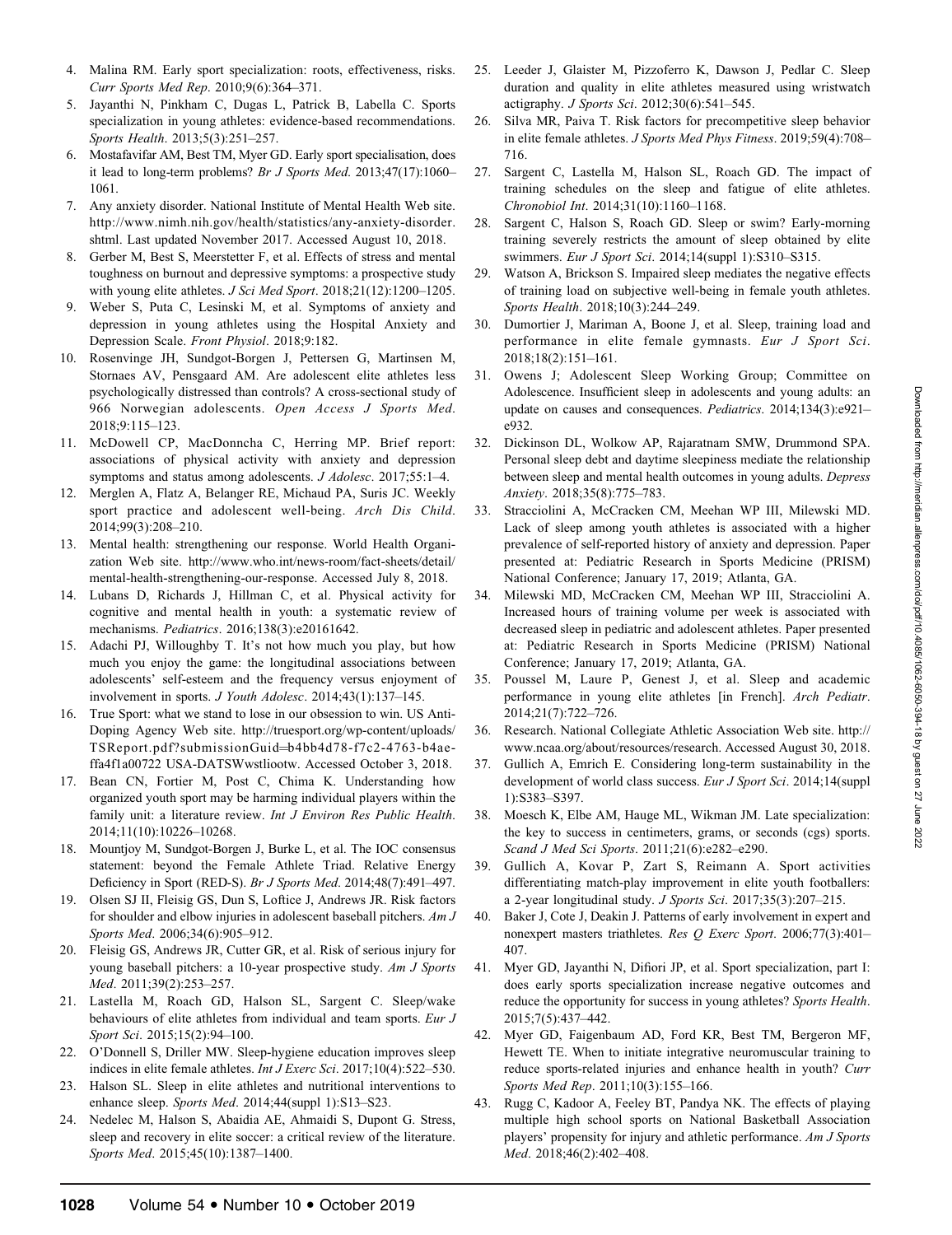- 4. Malina RM. Early sport specialization: roots, effectiveness, risks. Curr Sports Med Rep. 2010;9(6):364–371.
- 5. Jayanthi N, Pinkham C, Dugas L, Patrick B, Labella C. Sports specialization in young athletes: evidence-based recommendations. Sports Health. 2013;5(3):251–257.
- 6. Mostafavifar AM, Best TM, Myer GD. Early sport specialisation, does it lead to long-term problems? Br J Sports Med. 2013;47(17):1060– 1061.
- 7. Any anxiety disorder. National Institute of Mental Health Web site. http://www.nimh.nih.gov/health/statistics/any-anxiety-disorder. shtml. Last updated November 2017. Accessed August 10, 2018.
- 8. Gerber M, Best S, Meerstetter F, et al. Effects of stress and mental toughness on burnout and depressive symptoms: a prospective study with young elite athletes. J Sci Med Sport. 2018;21(12):1200–1205.
- 9. Weber S, Puta C, Lesinski M, et al. Symptoms of anxiety and depression in young athletes using the Hospital Anxiety and Depression Scale. Front Physiol. 2018;9:182.
- 10. Rosenvinge JH, Sundgot-Borgen J, Pettersen G, Martinsen M, Stornaes AV, Pensgaard AM. Are adolescent elite athletes less psychologically distressed than controls? A cross-sectional study of 966 Norwegian adolescents. Open Access J Sports Med. 2018;9:115–123.
- 11. McDowell CP, MacDonncha C, Herring MP. Brief report: associations of physical activity with anxiety and depression symptoms and status among adolescents. *J Adolesc*. 2017;55:1-4.
- 12. Merglen A, Flatz A, Belanger RE, Michaud PA, Suris JC. Weekly sport practice and adolescent well-being. Arch Dis Child. 2014;99(3):208–210.
- 13. Mental health: strengthening our response. World Health Organization Web site. http://www.who.int/news-room/fact-sheets/detail/ mental-health-strengthening-our-response. Accessed July 8, 2018.
- 14. Lubans D, Richards J, Hillman C, et al. Physical activity for cognitive and mental health in youth: a systematic review of mechanisms. Pediatrics. 2016;138(3):e20161642.
- 15. Adachi PJ, Willoughby T. It's not how much you play, but how much you enjoy the game: the longitudinal associations between adolescents' self-esteem and the frequency versus enjoyment of involvement in sports. J Youth Adolesc. 2014;43(1):137–145.
- 16. True Sport: what we stand to lose in our obsession to win. US Anti-Doping Agency Web site. http://truesport.org/wp-content/uploads/ TSReport.pdf?submissionGuid=b4bb4d78-f7c2-4763-b4aeffa4f1a00722 USA-DATSWwstliootw. Accessed October 3, 2018.
- 17. Bean CN, Fortier M, Post C, Chima K. Understanding how organized youth sport may be harming individual players within the family unit: a literature review. Int J Environ Res Public Health. 2014;11(10):10226–10268.
- 18. Mountjoy M, Sundgot-Borgen J, Burke L, et al. The IOC consensus statement: beyond the Female Athlete Triad. Relative Energy Deficiency in Sport (RED-S). Br J Sports Med. 2014;48(7):491–497.
- 19. Olsen SJ II, Fleisig GS, Dun S, Loftice J, Andrews JR. Risk factors for shoulder and elbow injuries in adolescent baseball pitchers. Am J Sports Med. 2006;34(6):905–912.
- 20. Fleisig GS, Andrews JR, Cutter GR, et al. Risk of serious injury for young baseball pitchers: a 10-year prospective study. Am J Sports Med. 2011;39(2):253–257.
- 21. Lastella M, Roach GD, Halson SL, Sargent C. Sleep/wake behaviours of elite athletes from individual and team sports. Eur J Sport Sci. 2015;15(2):94–100.
- 22. O'Donnell S, Driller MW. Sleep-hygiene education improves sleep indices in elite female athletes. Int J Exerc Sci. 2017;10(4):522–530.
- 23. Halson SL. Sleep in elite athletes and nutritional interventions to enhance sleep. Sports Med. 2014;44(suppl 1):S13-S23.
- 24. Nedelec M, Halson S, Abaidia AE, Ahmaidi S, Dupont G. Stress, sleep and recovery in elite soccer: a critical review of the literature. Sports Med. 2015;45(10):1387–1400.
- 25. Leeder J, Glaister M, Pizzoferro K, Dawson J, Pedlar C. Sleep duration and quality in elite athletes measured using wristwatch actigraphy. J Sports Sci. 2012;30(6):541–545.
- 26. Silva MR, Paiva T. Risk factors for precompetitive sleep behavior in elite female athletes. J Sports Med Phys Fitness. 2019;59(4):708– 716.
- 27. Sargent C, Lastella M, Halson SL, Roach GD. The impact of training schedules on the sleep and fatigue of elite athletes. Chronobiol Int. 2014;31(10):1160–1168.
- 28. Sargent C, Halson S, Roach GD. Sleep or swim? Early-morning training severely restricts the amount of sleep obtained by elite swimmers. Eur J Sport Sci. 2014;14(suppl 1):S310-S315.
- 29. Watson A, Brickson S. Impaired sleep mediates the negative effects of training load on subjective well-being in female youth athletes. Sports Health. 2018;10(3):244–249.
- 30. Dumortier J, Mariman A, Boone J, et al. Sleep, training load and performance in elite female gymnasts. Eur J Sport Sci. 2018;18(2):151–161.
- 31. Owens J; Adolescent Sleep Working Group; Committee on Adolescence. Insufficient sleep in adolescents and young adults: an update on causes and consequences. Pediatrics. 2014;134(3):e921– e932.
- 32. Dickinson DL, Wolkow AP, Rajaratnam SMW, Drummond SPA. Personal sleep debt and daytime sleepiness mediate the relationship between sleep and mental health outcomes in young adults. Depress Anxiety. 2018;35(8):775–783.
- 33. Stracciolini A, McCracken CM, Meehan WP III, Milewski MD. Lack of sleep among youth athletes is associated with a higher prevalence of self-reported history of anxiety and depression. Paper presented at: Pediatric Research in Sports Medicine (PRISM) National Conference; January 17, 2019; Atlanta, GA.
- 34. Milewski MD, McCracken CM, Meehan WP III, Stracciolini A. Increased hours of training volume per week is associated with decreased sleep in pediatric and adolescent athletes. Paper presented at: Pediatric Research in Sports Medicine (PRISM) National Conference; January 17, 2019; Atlanta, GA.
- 35. Poussel M, Laure P, Genest J, et al. Sleep and academic performance in young elite athletes [in French]. Arch Pediatr. 2014;21(7):722–726.
- 36. Research. National Collegiate Athletic Association Web site. http:// www.ncaa.org/about/resources/research. Accessed August 30, 2018.
- 37. Gullich A, Emrich E. Considering long-term sustainability in the development of world class success. Eur J Sport Sci. 2014;14(suppl 1):S383–S397.
- 38. Moesch K, Elbe AM, Hauge ML, Wikman JM. Late specialization: the key to success in centimeters, grams, or seconds (cgs) sports. Scand J Med Sci Sports. 2011;21(6):e282–e290.
- 39. Gullich A, Kovar P, Zart S, Reimann A. Sport activities differentiating match-play improvement in elite youth footballers: a 2-year longitudinal study. J Sports Sci. 2017;35(3):207–215.
- 40. Baker J, Cote J, Deakin J. Patterns of early involvement in expert and nonexpert masters triathletes. Res Q Exerc Sport. 2006;77(3):401-407.
- 41. Myer GD, Jayanthi N, Difiori JP, et al. Sport specialization, part I: does early sports specialization increase negative outcomes and reduce the opportunity for success in young athletes? Sports Health. 2015;7(5):437–442.
- 42. Myer GD, Faigenbaum AD, Ford KR, Best TM, Bergeron MF, Hewett TE. When to initiate integrative neuromuscular training to reduce sports-related injuries and enhance health in youth? Curr Sports Med Rep. 2011;10(3):155-166.
- 43. Rugg C, Kadoor A, Feeley BT, Pandya NK. The effects of playing multiple high school sports on National Basketball Association players' propensity for injury and athletic performance. Am J Sports Med. 2018;46(2):402–408.